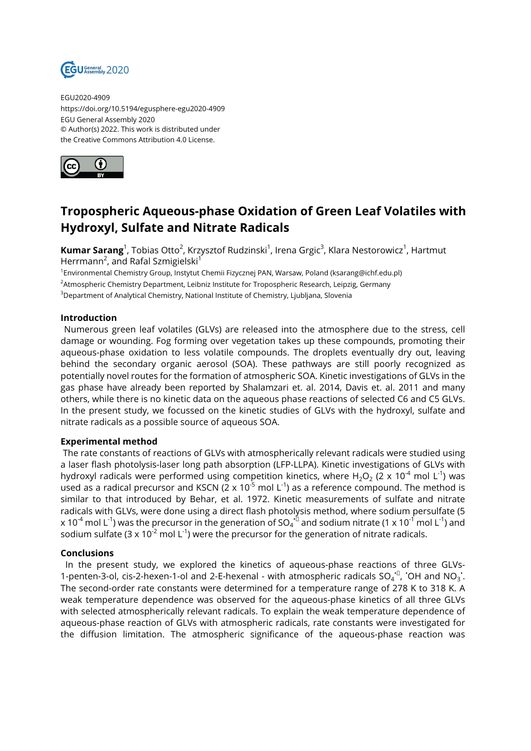

EGU2020-4909 https://doi.org/10.5194/egusphere-egu2020-4909 EGU General Assembly 2020 © Author(s) 2022. This work is distributed under the Creative Commons Attribution 4.0 License.



## **Tropospheric Aqueous-phase Oxidation of Green Leaf Volatiles with Hydroxyl, Sulfate and Nitrate Radicals**

**Kumar Sarang**<sup>1</sup>, Tobias Otto<sup>2</sup>, Krzysztof Rudzinski<sup>1</sup>, Irena Grgic<sup>3</sup>, Klara Nestorowicz<sup>1</sup>, Hartmut Herrmann<sup>2</sup>, and Rafal Szmigielski<sup>1</sup>

<sup>1</sup>Environmental Chemistry Group, Instytut Chemii Fizycznej PAN, Warsaw, Poland (ksarang@ichf.edu.pl) <sup>2</sup>Atmospheric Chemistry Department, Leibniz Institute for Tropospheric Research, Leipzig, Germany <sup>3</sup>Department of Analytical Chemistry, National Institute of Chemistry, Ljubljana, Slovenia

## **Introduction**

Numerous green leaf volatiles (GLVs) are released into the atmosphere due to the stress, cell damage or wounding. Fog forming over vegetation takes up these compounds, promoting their aqueous-phase oxidation to less volatile compounds. The droplets eventually dry out, leaving behind the secondary organic aerosol (SOA). These pathways are still poorly recognized as potentially novel routes for the formation of atmospheric SOA. Kinetic investigations of GLVs in the gas phase have already been reported by Shalamzari et. al. 2014, Davis et. al. 2011 and many others, while there is no kinetic data on the aqueous phase reactions of selected C6 and C5 GLVs. In the present study, we focussed on the kinetic studies of GLVs with the hydroxyl, sulfate and nitrate radicals as a possible source of aqueous SOA.

## **Experimental method**

The rate constants of reactions of GLVs with atmospherically relevant radicals were studied using a laser flash photolysis-laser long path absorption (LFP-LLPA). Kinetic investigations of GLVs with hydroxyl radicals were performed using competition kinetics, where H<sub>2</sub>O<sub>2</sub> (2 x 10<sup>-4</sup> mol L<sup>-1</sup>) was used as a radical precursor and KSCN ( $2 \times 10^{-5}$  mol L<sup>-1</sup>) as a reference compound. The method is similar to that introduced by Behar, et al. 1972. Kinetic measurements of sulfate and nitrate radicals with GLVs, were done using a direct flash photolysis method, where sodium persulfate (5 x 10<sup>-4</sup> mol L<sup>-1</sup>) was the precursor in the generation of SO<sub>4</sub><sup>-⊔</sup> and sodium nitrate (1 x 10<sup>-1</sup> mol L<sup>-1</sup>) and sodium sulfate (3 x 10<sup>-2</sup> mol L<sup>-1</sup>) were the precursor for the generation of nitrate radicals.

## **Conclusions**

In the present study, we explored the kinetics of aqueous-phase reactions of three GLVs-1-penten-3-ol, cis-2-hexen-1-ol and 2-E-hexenal - with atmospheric radicals  $SO_4^{\text{-}1}$ , OH and NO<sub>3</sub>. The second-order rate constants were determined for a temperature range of 278 K to 318 K. A weak temperature dependence was observed for the aqueous-phase kinetics of all three GLVs with selected atmospherically relevant radicals. To explain the weak temperature dependence of aqueous-phase reaction of GLVs with atmospheric radicals, rate constants were investigated for the diffusion limitation. The atmospheric significance of the aqueous-phase reaction was